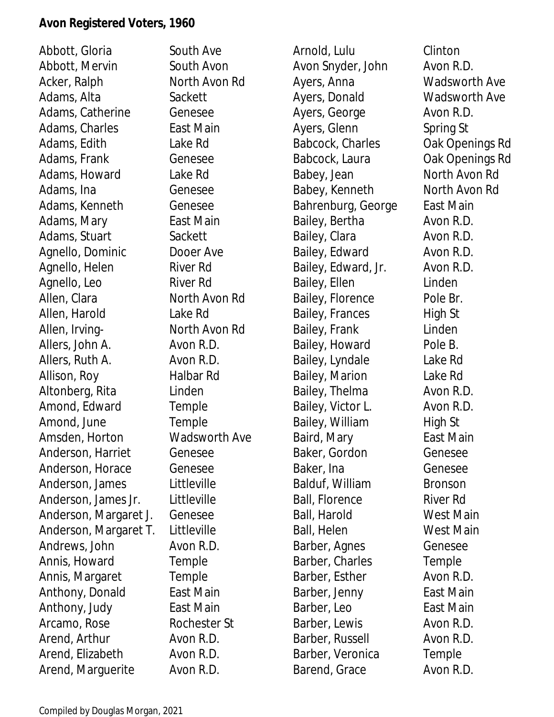Abbott, Gloria South Ave Abbott, Mervin South Avon Acker, Ralph North Avon Rd Adams, Alta Sackett Adams, Catherine Genesee Adams, Charles **East Main** Adams, Edith Lake Rd Adams, Frank Genesee Adams, Howard Lake Rd Adams, Ina Genesee Adams, Kenneth Genesee Adams, Mary **East Main** Adams, Stuart Sackett Agnello, Dominic Dooer Ave Agnello, Helen River Rd Agnello, Leo River Rd Allen, Clara North Avon Rd Allen, Harold Lake Rd Allen, Irving-<br>
North Avon Rd Allers, John A. Avon R.D. Allers, Ruth A. Avon R.D. Allison, Roy Halbar Rd Altonberg, Rita Linden Amond, Edward Temple Amond, June Temple Amsden, Horton Wadsworth Ave Anderson, Harriet Genesee Anderson, Horace Genesee Anderson, James Littleville Anderson, James Jr. Littleville Anderson, Margaret J. Genesee Anderson, Margaret T. Littleville Andrews, John Avon R.D. Annis, Howard Temple Annis, Margaret Temple Anthony, Donald East Main Anthony, Judy East Main Arcamo, Rose Rochester St Arend, Arthur **Avon R.D.** Arend, Elizabeth Avon R.D. Arend, Marguerite Avon R.D.

Arnold, Lulu Clinton Avon Snyder, John Avon R.D. Ayers, Anna Wadsworth Ave Ayers, Donald Wadsworth Ave Ayers, George Avon R.D. Ayers, Glenn Spring St Babcock, Charles Cak Openings Rd Babcock, Laura **Oak Openings Rd** Babey, Jean North Avon Rd Babey, Kenneth North Avon Rd Bahrenburg, George East Main Bailey, Bertha **Avon R.D.** Bailey, Clara Avon R.D. Bailey, Edward Avon R.D. Bailey, Edward, Jr. Avon R.D. Bailey, Ellen Linden Bailey, Florence Pole Br. Bailey, Frances High St Bailey, Frank Linden Bailey, Howard Pole B. Bailey, Lyndale Lake Rd Bailey, Marion Lake Rd Bailey, Thelma Avon R.D. Bailey, Victor L. Avon R.D. Bailey, William High St Baird, Mary **East Main** Baker, Gordon Genesee Baker, Ina Genesee Balduf, William Bronson Ball, Florence River Rd Ball, Harold West Main Ball, Helen West Main Barber, Agnes Genesee Barber, Charles Temple Barber, Esther Avon R.D. Barber, Jenny **East Main** Barber, Leo **East Main** Barber, Lewis **Avon R.D.** Barber, Russell **Avon R.D.** Barber, Veronica Temple Barend, Grace Avon R.D.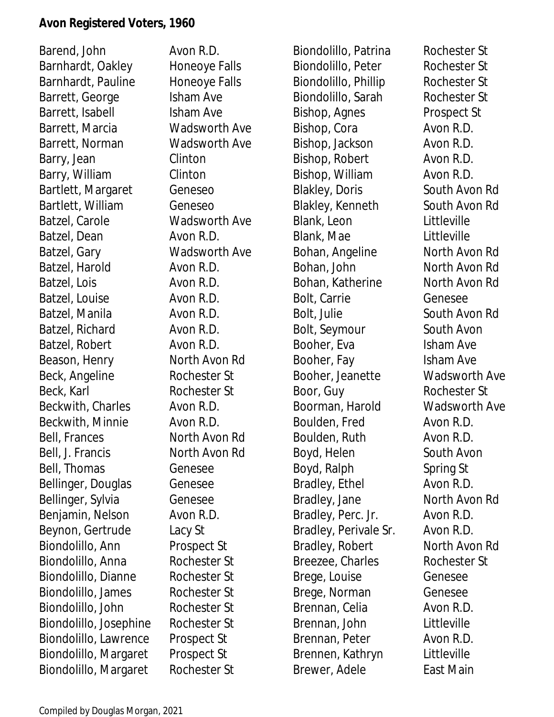Barend, John Avon R.D. Barnhardt, Oakley Honeoye Falls Barnhardt, Pauline Honeoye Falls Barrett, George Isham Ave Barrett, Isabell **Isham Ave** Barrett, Marcia Wadsworth Ave Barrett, Norman Wadsworth Ave Barry, Jean Clinton Barry, William Clinton Bartlett, Margaret Geneseo Bartlett, William Geneseo Batzel, Carole Wadsworth Ave Batzel, Dean Avon R.D. Batzel, Gary Wadsworth Ave Batzel, Harold Avon R.D. Batzel, Lois **Avon R.D.** Batzel, Louise **Avon R.D.** Batzel, Manila Avon R.D. Batzel, Richard Avon R.D. Batzel, Robert Avon R.D. Beason, Henry North Avon Rd Beck, Angeline Rochester St Beck, Karl Rochester St Beckwith, Charles **Avon R.D.** Beckwith, Minnie **Avon R.D.** Bell, Frances North Avon Rd Bell, J. Francis North Avon Rd Bell, Thomas Genesee Bellinger, Douglas Genesee Bellinger, Sylvia Genesee Benjamin, Nelson Avon R.D. Beynon, Gertrude Lacy St Biondolillo, Ann Prospect St Biondolillo, Anna Rochester St Biondolillo, Dianne Rochester St Biondolillo, James Rochester St Biondolillo, John Rochester St Biondolillo, Josephine Rochester St Biondolillo, Lawrence Prospect St Biondolillo, Margaret Prospect St Biondolillo, Margaret Rochester St

Biondolillo, Patrina Rochester St Biondolillo, Peter Rochester St Biondolillo, Phillip Rochester St Biondolillo, Sarah Rochester St Bishop, Agnes Prospect St Bishop, Cora Avon R.D. Bishop, Jackson Avon R.D. Bishop, Robert Avon R.D. Bishop, William Avon R.D. Blakley, Doris South Avon Rd Blakley, Kenneth South Avon Rd Blank, Leon Littleville Blank, Mae Littleville Bohan, Angeline North Avon Rd Bohan, John North Avon Rd Bohan, Katherine North Avon Rd Bolt, Carrie Genesee Bolt, Julie South Avon Rd Bolt, Seymour South Avon Booher, Eva **Isham Ave** Booher, Fay Isham Ave Booher, Jeanette Wadsworth Ave Boor, Guy Rochester St Boorman, Harold Wadsworth Ave Boulden, Fred Avon R.D. Boulden, Ruth Avon R.D. Boyd, Helen South Avon Boyd, Ralph Spring St Bradley, Ethel **Avon R.D.** Bradley, Jane North Avon Rd Bradley, Perc. Jr. Avon R.D. Bradley, Perivale Sr. Avon R.D. Bradley, Robert North Avon Rd Breezee, Charles Rochester St Brege, Louise Genesee Brege, Norman Genesee Brennan, Celia **Avon R.D.** Brennan, John Littleville Brennan, Peter Avon R.D. Brennen, Kathryn Littleville Brewer, Adele East Main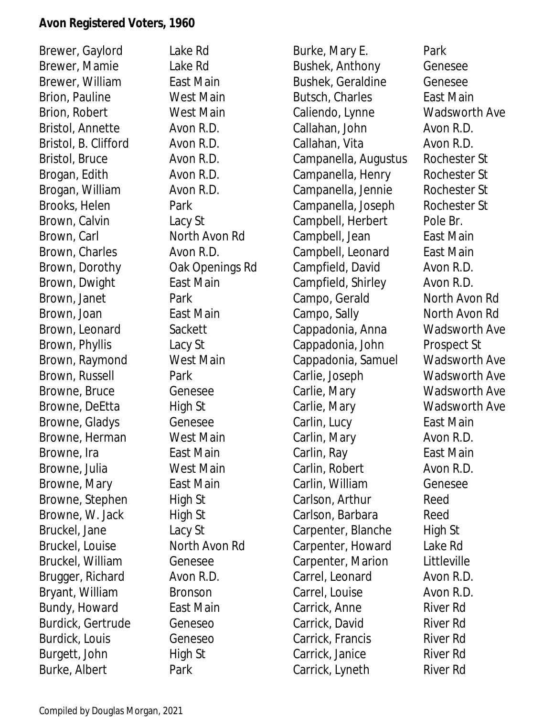Brewer, Gaylord Lake Rd Brewer, Mamie Lake Rd Brewer, William East Main Brion, Pauline West Main Brion, Robert West Main Bristol, Annette Avon R.D. Bristol, B. Clifford Avon R.D. Bristol, Bruce Avon R.D. Brogan, Edith Avon R.D. Brogan, William Avon R.D. Brooks, Helen Park Brown, Calvin Lacy St Brown, Carl North Avon Rd Brown, Charles **Avon R.D.** Brown, Dorothy **Oak Openings Rd** Brown, Dwight East Main Brown, Janet Park Brown, Joan East Main Brown, Leonard Sackett Brown, Phyllis Lacy St Brown, Raymond West Main Brown, Russell Park Browne, Bruce Genesee Browne, DeEtta High St Browne, Gladys Genesee Browne, Herman West Main Browne, Ira **East Main** Browne, Julia West Main Browne, Mary **East Main** Browne, Stephen High St Browne, W. Jack High St Bruckel, Jane Lacy St Bruckel, Louise North Avon Rd Bruckel, William Genesee Brugger, Richard Avon R.D. Bryant, William Bronson Bundy, Howard East Main Burdick, Gertrude Geneseo Burdick, Louis Geneseo Burgett, John High St Burke, Albert Park

Burke, Mary E. Park Bushek, Anthony Genesee Bushek, Geraldine Genesee Butsch, Charles **East Main** Caliendo, Lynne Wadsworth Ave Callahan, John Avon R.D. Callahan, Vita Avon R.D. Campanella, Augustus Rochester St Campanella, Henry Rochester St Campanella, Jennie Rochester St Campanella, Joseph Rochester St Campbell, Herbert Pole Br. Campbell, Jean East Main Campbell, Leonard East Main Campfield, David Avon R.D. Campfield, Shirley Avon R.D. Campo, Gerald North Avon Rd Campo, Sally North Avon Rd Cappadonia, Anna Wadsworth Ave Cappadonia, John Prospect St Cappadonia, Samuel Wadsworth Ave Carlie, Joseph Wadsworth Ave Carlie, Mary Wadsworth Ave Carlie, Mary Wadsworth Ave Carlin, Lucy **East Main** Carlin, Mary **Avon R.D.** Carlin, Ray **East Main** Carlin, Robert Avon R.D. Carlin, William Genesee Carlson, Arthur Reed Carlson, Barbara Reed Carpenter, Blanche High St Carpenter, Howard Lake Rd Carpenter, Marion Littleville Carrel, Leonard Avon R.D. Carrel, Louise Avon R.D. Carrick, Anne River Rd Carrick, David River Rd Carrick, Francis River Rd Carrick, Janice River Rd Carrick, Lyneth River Rd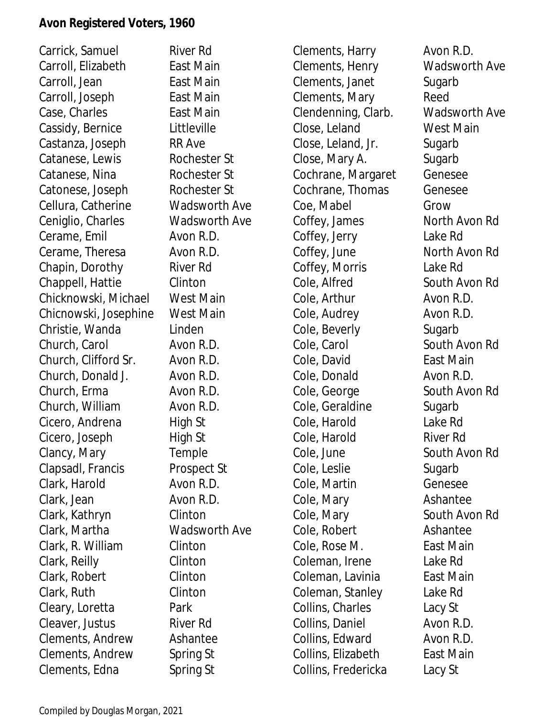Carrick, Samuel River Rd Carroll, Flizabeth **East Main** Carroll, Jean East Main Carroll, Joseph East Main Case, Charles **East Main** Cassidy, Bernice Littleville Castanza, Joseph RR Ave Catanese, Lewis Rochester St Catanese, Nina Rochester St Catonese, Joseph Rochester St Cellura, Catherine Wadsworth Ave Ceniglio, Charles Wadsworth Ave Cerame, Emil Avon R.D. Cerame, Theresa Avon R.D. Chapin, Dorothy River Rd Chappell, Hattie Clinton Chicknowski, Michael West Main Chicnowski, Josephine West Main Christie, Wanda Linden Church, Carol Avon R.D. Church, Clifford Sr. Avon R.D. Church, Donald J. Avon R.D. Church, Erma Avon R.D. Church, William Avon R.D. Cicero, Andrena High St Cicero, Joseph High St Clancy, Mary Temple Clapsadl, Francis Prospect St Clark, Harold **Avon R.D.** Clark, Jean Avon R.D. Clark, Kathryn Clinton Clark, Martha Wadsworth Ave Clark, R. William Clinton Clark, Reilly Clinton Clark, Robert Clinton Clark, Ruth Clinton Cleary, Loretta Park Cleaver, Justus River Rd Clements, Andrew Ashantee Clements, Andrew Spring St Clements, Edna Spring St

Clements, Harry **Avon R.D.** Clements, Henry Wadsworth Ave Clements, Janet Sugarb Clements, Mary Reed Clendenning, Clarb. Wadsworth Ave Close, Leland West Main Close, Leland, Jr. Sugarb Close, Mary A. Sugarb Cochrane, Margaret Genesee Cochrane, Thomas Genesee Coe, Mabel Grow Coffey, James North Avon Rd Coffey, Jerry Lake Rd Coffey, June North Avon Rd Coffey, Morris Lake Rd Cole, Alfred South Avon Rd Cole, Arthur **Avon R.D.** Cole, Audrey **Avon R.D.** Cole, Beverly Sugarb Cole, Carol **South Avon Rd** Cole, David East Main Cole, Donald Avon R.D. Cole, George South Avon Rd Cole, Geraldine Sugarb Cole, Harold Lake Rd Cole, Harold River Rd Cole, June South Avon Rd Cole, Leslie Sugarb Cole, Martin Genesee Cole, Mary **Ashantee** Cole, Mary South Avon Rd Cole, Robert **Ashantee** Cole, Rose M. East Main Coleman, Irene Lake Rd Coleman, Lavinia **East Main** Coleman, Stanley Lake Rd Collins, Charles Lacy St Collins, Daniel **Avon R.D.** Collins, Edward **Avon R.D.** Collins, Elizabeth East Main Collins, Fredericka Lacy St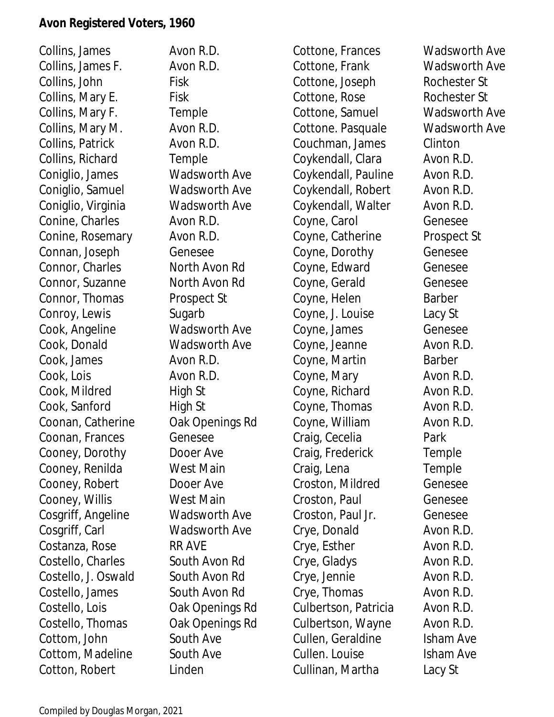Collins, James Avon R.D. Collins, James F. Avon R.D. Collins, John Fisk Collins, Mary E. Fisk Collins, Mary F. Temple Collins, Mary M. Avon R.D. Collins, Patrick **Avon R.D.** Collins, Richard Temple Coniglio, James Wadsworth Ave Coniglio, Samuel Wadsworth Ave Coniglio, Virginia Wadsworth Ave Conine, Charles **Avon R.D.** Conine, Rosemary Avon R.D. Connan, Joseph Genesee Connor, Charles North Avon Rd Connor, Suzanne North Avon Rd Connor, Thomas Prospect St Conroy, Lewis Sugarb Cook, Angeline Wadsworth Ave Cook, Donald Wadsworth Ave Cook, James Avon R.D. Cook, Lois **Avon R.D.** Cook, Mildred High St Cook, Sanford High St Coonan, Catherine Oak Openings Rd Coonan, Frances Genesee Cooney, Dorothy Dooer Ave Cooney, Renilda West Main Cooney, Robert Dooer Ave Cooney, Willis West Main Cosgriff, Angeline Wadsworth Ave Cosgriff, Carl Wadsworth Ave Costanza, Rose RR AVE Costello, Charles South Avon Rd Costello, J. Oswald South Avon Rd Costello, James South Avon Rd Costello, Lois **Oak Openings Rd** Costello, Thomas Oak Openings Rd Cottom, John South Ave Cottom, Madeline South Ave Cotton, Robert Linden

Cottone, Frances Wadsworth Ave Cottone, Frank Wadsworth Ave Cottone, Joseph Rochester St Cottone, Rose Rochester St Cottone, Samuel Wadsworth Ave Cottone. Pasquale Wadsworth Ave Couchman, James Clinton Coykendall, Clara Avon R.D. Coykendall, Pauline Avon R.D. Coykendall, Robert Avon R.D. Coykendall, Walter Avon R.D. Coyne, Carol Genesee Coyne, Catherine Prospect St Coyne, Dorothy Genesee Coyne, Edward Genesee Coyne, Gerald Genesee Coyne, Helen Barber Coyne, J. Louise Lacy St Coyne, James Genesee Coyne, Jeanne **Avon R.D.** Coyne, Martin Barber Coyne, Mary **Avon R.D.** Coyne, Richard Avon R.D. Coyne, Thomas Avon R.D. Coyne, William Avon R.D. Craig, Cecelia Park Craig, Frederick Temple Craig, Lena Temple Croston, Mildred Genesee Croston, Paul **Genesee** Croston, Paul Jr. Genesee Crye, Donald Avon R.D. Crye, Esther Avon R.D. Crye, Gladys Avon R.D. Crye, Jennie Avon R.D. Crye, Thomas Avon R.D. Culbertson, Patricia Avon R.D. Culbertson, Wayne Avon R.D. Cullen, Geraldine Isham Ave Cullen. Louise Isham Ave Cullinan, Martha Lacy St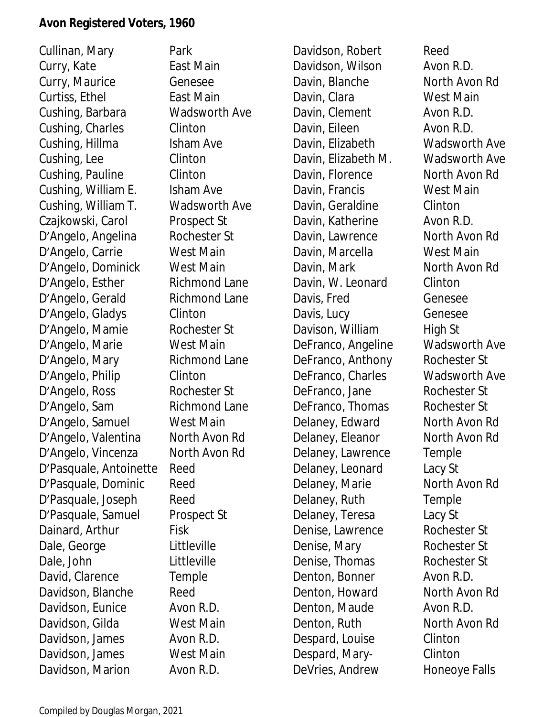Cullinan, Mary Park Curry, Kate East Main Curry, Maurice Genesee Curtiss, Ethel East Main Cushing, Barbara Wadsworth Ave Cushing, Charles Clinton Cushing, Hillma Isham Ave Cushing, Lee Clinton Cushing, Pauline Clinton Cushing, William E. Isham Ave Cushing, William T. Wadsworth Ave Czajkowski, Carol Prospect St D'Angelo, Angelina Rochester St D'Angelo, Carrie West Main D'Angelo, Dominick West Main D'Angelo, Esther Richmond Lane D'Angelo, Gerald Richmond Lane D'Angelo, Gladys Clinton D'Angelo, Mamie Rochester St D'Angelo, Marie West Main D'Angelo, Mary Richmond Lane D'Angelo, Philip Clinton D'Angelo, Ross Rochester St D'Angelo, Sam Richmond Lane D'Angelo, Samuel West Main D'Angelo, Valentina North Avon Rd D'Angelo, Vincenza North Avon Rd D'Pasquale, Antoinette Reed D'Pasquale, Dominic Reed D'Pasquale, Joseph Reed D'Pasquale, Samuel Prospect St Dainard, Arthur Fisk Dale, George Littleville Dale, John Littleville David, Clarence Temple Davidson, Blanche Reed Davidson, Eunice Avon R.D. Davidson, Gilda West Main Davidson, James Avon R.D. Davidson, James West Main Davidson, Marion Avon R.D.

Davidson, Robert Reed Davidson, Wilson **Avon R.D.** Davin, Blanche North Avon Rd Davin, Clara West Main Davin, Clement Avon R.D. Davin, Eileen Avon R.D. Davin, Elizabeth Wadsworth Ave Davin, Elizabeth M. Wadsworth Ave Davin, Florence North Avon Rd Davin, Francis West Main Davin, Geraldine Clinton Davin, Katherine **Avon R.D.** Davin, Lawrence North Avon Rd Davin, Marcella West Main Davin, Mark North Avon Rd Davin, W. Leonard Clinton Davis, Fred Genesee Davis, Lucy Genesee Davison, William High St DeFranco, Angeline Wadsworth Ave DeFranco, Anthony Rochester St DeFranco, Charles Wadsworth Ave DeFranco, Jane Rochester St DeFranco, Thomas Rochester St Delaney, Edward North Avon Rd Delaney, Eleanor North Avon Rd Delaney, Lawrence Temple Delaney, Leonard Lacy St Delaney, Marie North Avon Rd Delaney, Ruth Temple Delaney, Teresa Lacy St Denise, Lawrence Rochester St Denise, Mary Rochester St Denise, Thomas Rochester St Denton, Bonner Avon R.D. Denton, Howard North Avon Rd Denton, Maude Avon R.D. Denton, Ruth North Avon Rd Despard, Louise Clinton Despard, MaryClinton DeVries, Andrew Honeoye Falls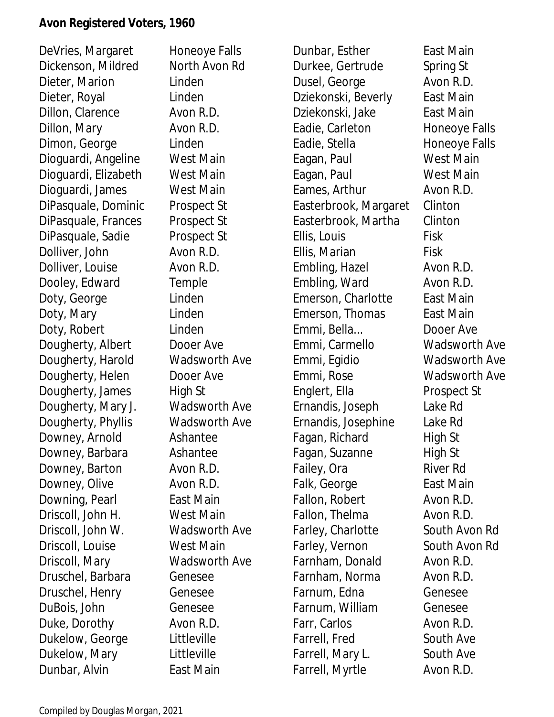DeVries, Margaret Honeoye Falls Dickenson, Mildred North Avon Rd Dieter, Marion Linden Dieter, Royal Linden Dillon, Clarence Avon R.D. Dillon, Mary **Avon R.D.** Dimon, George Linden Dioguardi, Angeline West Main Dioguardi, Elizabeth West Main Dioguardi, James West Main DiPasquale, Dominic Prospect St DiPasquale, Frances Prospect St DiPasquale, Sadie Prospect St Dolliver, John Avon R.D. Dolliver, Louise Avon R.D. Dooley, Edward Temple Doty, George Linden Doty, Mary Linden Doty, Robert Linden Dougherty, Albert Dooer Ave Dougherty, Harold Wadsworth Ave Dougherty, Helen Dooer Ave Dougherty, James High St Dougherty, Mary J. Wadsworth Ave Dougherty, Phyllis Wadsworth Ave Downey, Arnold Ashantee Downey, Barbara Ashantee Downey, Barton Avon R.D. Downey, Olive Avon R.D. Downing, Pearl East Main Driscoll, John H. West Main Driscoll, John W. Wadsworth Ave Driscoll, Louise West Main Driscoll, Mary Wadsworth Ave Druschel, Barbara Genesee Druschel, Henry Genesee DuBois, John Genesee Duke, Dorothy Avon R.D. Dukelow, George Littleville Dukelow, Mary Littleville Dunbar, Alvin East Main

Dunbar, Esther East Main Durkee, Gertrude Spring St Dusel, George **Avon R.D.** Dziekonski, Beverly East Main Dziekonski, Jake East Main Eadie, Carleton Honeoye Falls Eadie, Stella Honeoye Falls Eagan, Paul **West Main** Eagan, Paul West Main Eames, Arthur Avon R.D. Easterbrook, Margaret Clinton Easterbrook, Martha Clinton Ellis, Louis Fisk Ellis, Marian Fisk Embling, Hazel Avon R.D. Embling, Ward Avon R.D. Emerson, Charlotte East Main Emerson, Thomas East Main Emmi, Bella... Dooer Ave Emmi, Carmello Wadsworth Ave Emmi, Egidio Wadsworth Ave Emmi, Rose Wadsworth Ave Englert, Ella Prospect St Ernandis, Joseph Lake Rd Ernandis, Josephine Lake Rd Fagan, Richard High St Fagan, Suzanne High St Failey, Ora River Rd Falk, George **East Main** Fallon, Robert **Avon R.D.** Fallon, Thelma **Avon R.D.** Farley, Charlotte South Avon Rd Farley, Vernon South Avon Rd Farnham, Donald Avon R.D. Farnham, Norma Avon R.D. Farnum, Edna Genesee Farnum, William Genesee Farr, Carlos **Avon R.D.** Farrell, Fred South Ave Farrell, Mary L. South Ave Farrell, Myrtle Avon R.D.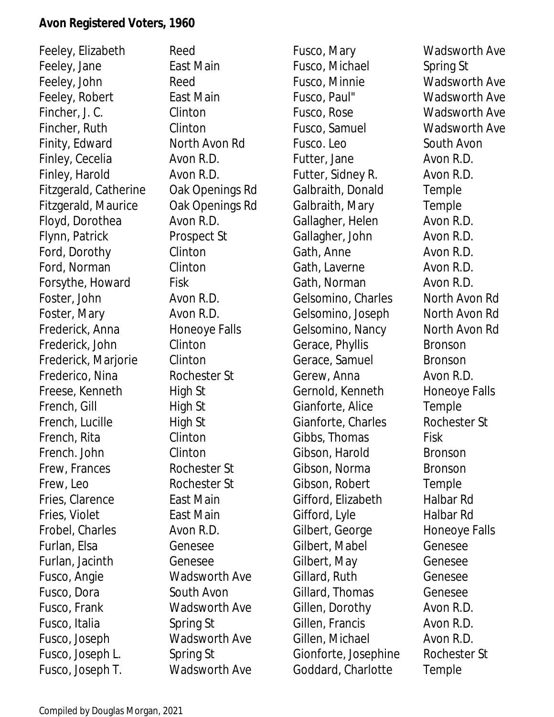Feeley, Elizabeth Reed Feeley, Jane East Main Feeley, John Reed Feeley, Robert East Main Fincher, J. C. Clinton Fincher, Ruth Clinton Finity, Edward North Avon Rd Finley, Cecelia Avon R.D. Finley, Harold Avon R.D. Fitzgerald, Catherine Oak Openings Rd Fitzgerald, Maurice Oak Openings Rd Floyd, Dorothea Avon R.D. Flynn, Patrick Prospect St Ford, Dorothy Clinton Ford, Norman Clinton Forsythe, Howard Fisk Foster, John Avon R.D. Foster, Mary **Avon R.D.** Frederick, Anna Honeoye Falls Frederick, John Clinton Frederick, Marjorie Clinton Frederico, Nina Rochester St Freese, Kenneth High St French, Gill High St French, Lucille High St French, Rita Clinton French. John Clinton Frew, Frances Rochester St Frew, Leo Rochester St Fries, Clarence **East Main** Fries, Violet **East Main** Frobel, Charles **Avon R.D.** Furlan, Elsa Genesee Furlan, Jacinth Genesee Fusco, Angie Wadsworth Ave Fusco, Dora South Avon Fusco, Frank Wadsworth Ave Fusco, Italia Spring St Fusco, Joseph Wadsworth Ave Fusco, Joseph L. Spring St Fusco, Joseph T. Wadsworth Ave

Fusco, Mary Wadsworth Ave Fusco, Michael Spring St Fusco, Minnie Wadsworth Ave Fusco, Paul" Wadsworth Ave Fusco, Rose Wadsworth Ave Fusco, Samuel Wadsworth Ave Fusco. Leo South Avon Futter, Jane **Avon R.D.** Futter, Sidney R. **Avon R.D.** Galbraith, Donald Temple Galbraith, Mary Temple Gallagher, Helen Avon R.D. Gallagher, John Avon R.D. Gath, Anne **Avon R.D.** Gath, Laverne **Avon R.D.** Gath, Norman Avon R.D. Gelsomino, Charles North Avon Rd Gelsomino, Joseph North Avon Rd Gelsomino, Nancy North Avon Rd Gerace, Phyllis Bronson Gerace, Samuel Bronson Gerew, Anna **Avon R.D.** Gernold, Kenneth Honeoye Falls Gianforte, Alice Temple Gianforte, Charles **Rochester St** Gibbs, Thomas Fisk Gibson, Harold Bronson Gibson, Norma Bronson Gibson, Robert Temple Gifford, Elizabeth Halbar Rd Gifford, Lyle Halbar Rd Gilbert, George Honeoye Falls Gilbert, Mabel Genesee Gilbert, May Genesee Gillard, Ruth Genesee Gillard, Thomas Genesee Gillen, Dorothy Avon R.D. Gillen, Francis Avon R.D. Gillen, Michael **Avon R.D.** Gionforte, Josephine Rochester St Goddard, Charlotte Temple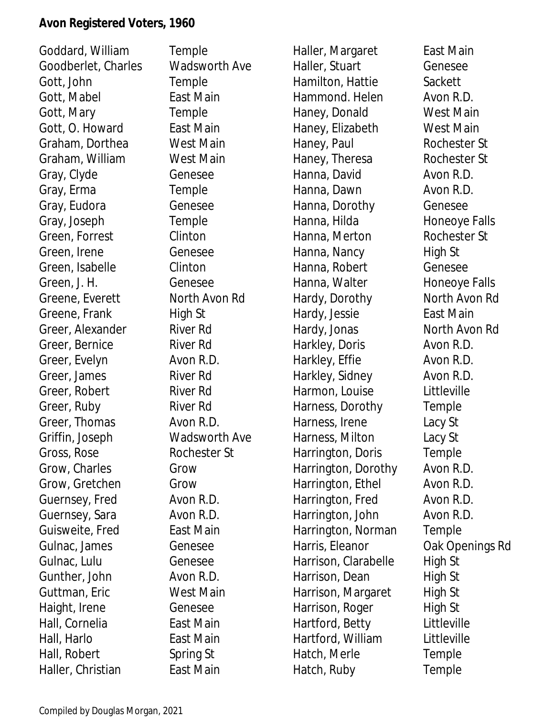Goddard, William Temple Goodberlet, Charles Wadsworth Ave Gott, John Temple Gott, Mabel **East Main** Gott, Mary **Temple** Gott, O. Howard East Main Graham, Dorthea West Main Graham, William West Main Gray, Clyde Genesee Gray, Erma Temple Gray, Eudora Genesee Gray, Joseph Temple Green, Forrest Clinton Green, Irene Genesee Green, Isabelle Clinton Green, J. H. Genesee Greene, Everett North Avon Rd Greene, Frank High St Greer, Alexander River Rd Greer, Bernice River Rd Greer, Evelyn Avon R.D. Greer, James River Rd Greer, Robert River Rd Greer, Ruby River Rd Greer, Thomas Avon R.D. Griffin, Joseph Wadsworth Ave Gross, Rose Rochester St Grow, Charles Grow Grow, Gretchen Grow Guernsey, Fred Avon R.D. Guernsey, Sara Avon R.D. Guisweite, Fred East Main Gulnac, James Genesee Gulnac, Lulu Genesee Gunther, John Avon R.D. Guttman, Eric West Main Haight, Irene Genesee Hall, Cornelia **East Main** Hall, Harlo East Main Hall, Robert Spring St Haller, Christian East Main

Haller, Margaret East Main Haller, Stuart Genesee Hamilton, Hattie Sackett Hammond. Helen Avon R.D. Haney, Donald West Main Haney, Elizabeth West Main Haney, Paul Rochester St Haney, Theresa Rochester St Hanna, David **Avon R.D.** Hanna, Dawn **Avon R.D.** Hanna, Dorothy Genesee Hanna, Hilda Honeoye Falls Hanna, Merton Rochester St Hanna, Nancy **High St** Hanna, Robert Genesee Hanna, Walter Honeoye Falls Hardy, Dorothy North Avon Rd Hardy, Jessie East Main Hardy, Jonas North Avon Rd Harkley, Doris Avon R.D. Harkley, Effie **Avon R.D.** Harkley, Sidney **Avon R.D.** Harmon, Louise Littleville Harness, Dorothy Temple Harness, Irene Lacy St Harness, Milton Lacy St Harrington, Doris Temple Harrington, Dorothy Avon R.D. Harrington, Ethel Avon R.D. Harrington, Fred Avon R.D. Harrington, John Avon R.D. Harrington, Norman Temple Harris, Eleanor **Oak Openings Rd** Harrison, Clarabelle High St Harrison, Dean High St Harrison, Margaret High St Harrison, Roger High St Hartford, Betty Littleville Hartford, William Littleville Hatch, Merle Temple Hatch, Ruby Temple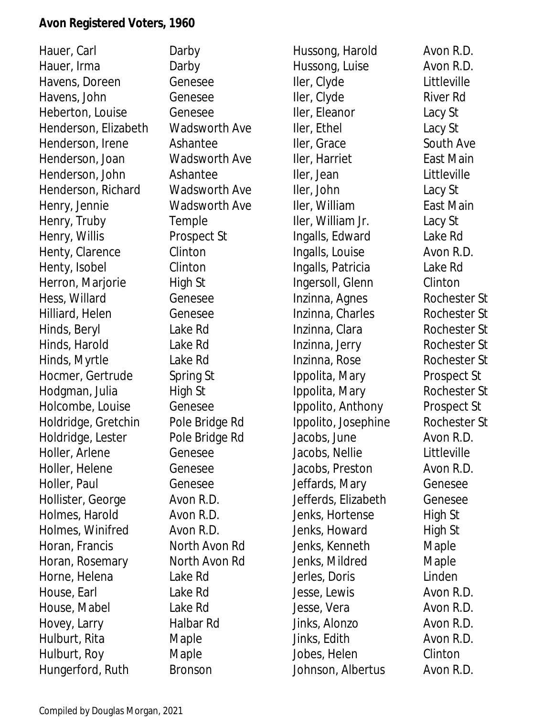Hauer, Carl **Darby** Hauer, Irma Darby Havens, Doreen Genesee Havens, John Genesee Heberton, Louise Genesee Henderson, Elizabeth Wadsworth Ave Henderson, Irene Ashantee Henderson, Joan Wadsworth Ave Henderson, John Ashantee Henderson, Richard Wadsworth Ave Henry, Jennie Wadsworth Ave Henry, Truby **Temple** Henry, Willis Prospect St Henty, Clarence Clinton Henty, Isobel Clinton Herron, Marjorie High St Hess, Willard Genesee Hilliard, Helen Genesee Hinds, Beryl Lake Rd Hinds, Harold Lake Rd Hinds, Myrtle Lake Rd Hocmer, Gertrude Spring St Hodgman, Julia High St Holcombe, Louise Genesee Holdridge, Gretchin Pole Bridge Rd Holdridge, Lester Pole Bridge Rd Holler, Arlene Genesee Holler, Helene Genesee Holler, Paul Genesee Hollister, George Avon R.D. Holmes, Harold Avon R.D. Holmes, Winifred Avon R.D. Horan, Francis North Avon Rd Horan, Rosemary North Avon Rd Horne, Helena Lake Rd House, Earl Lake Rd House, Mabel Lake Rd Hovey, Larry Halbar Rd Hulburt, Rita Maple Hulburt, Roy Maple Hungerford, Ruth Bronson

Hussong, Harold Avon R.D. Hussong, Luise Avon R.D. Iler, Clyde Littleville Iler, Clyde River Rd Iler, Eleanor Lacy St Iler, Ethel Lacy St Iler, Grace South Ave Iler, Harriet East Main Iler, Jean Littleville Iler, John Lacy St Iler, William East Main Iler, William Jr. Lacy St Ingalls, Edward Lake Rd Ingalls, Louise **Avon R.D.** Ingalls, Patricia Lake Rd Ingersoll, Glenn Clinton Inzinna, Agnes Rochester St Inzinna, Charles Rochester St Inzinna, Clara Rochester St Inzinna, Jerry Rochester St Inzinna, Rose Rochester St Ippolita, Mary Prospect St Ippolita, Mary Rochester St Ippolito, Anthony Prospect St Ippolito, Josephine Rochester St Jacobs, June Avon R.D. Jacobs, Nellie Littleville Jacobs, Preston Avon R.D. Jeffards, Mary Genesee Jefferds, Elizabeth Genesee Jenks, Hortense High St Jenks, Howard High St Jenks, Kenneth Maple Jenks, Mildred Maple Jerles, Doris Linden Jesse, Lewis **Avon R.D.** Jesse, Vera Avon R.D. Jinks, Alonzo Avon R.D. Jinks, Edith Avon R.D. Jobes, Helen Clinton Johnson, Albertus Avon R.D.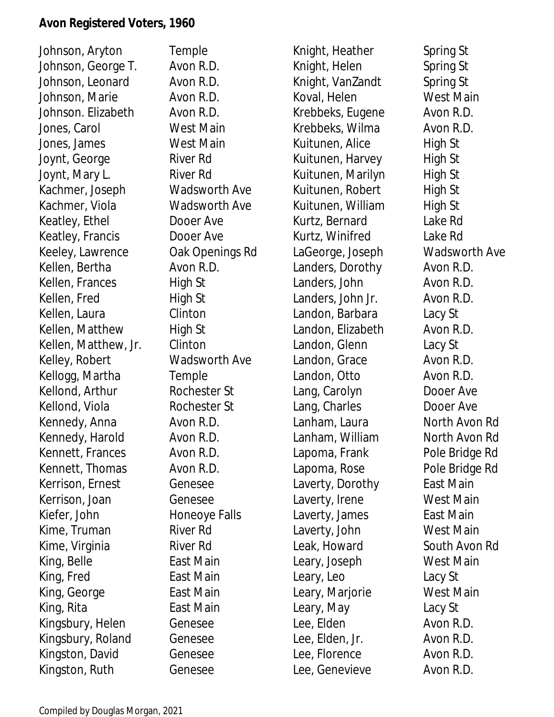Johnson, Aryton Temple Johnson, George T. Avon R.D. Johnson, Leonard Avon R.D. Johnson, Marie **Avon R.D.** Johnson. Elizabeth Avon R.D. Jones, Carol West Main Jones, James West Main Joynt, George River Rd Joynt, Mary L. River Rd Kachmer, Joseph Wadsworth Ave Kachmer, Viola Wadsworth Ave Keatley, Ethel Dooer Ave Keatley, Francis Dooer Ave Keeley, Lawrence Oak Openings Rd Kellen, Bertha Avon R.D. Kellen, Frances High St Kellen, Fred High St Kellen, Laura **Clinton** Kellen, Matthew High St Kellen, Matthew, Jr. Clinton Kelley, Robert Wadsworth Ave Kellogg, Martha Temple Kellond, Arthur Rochester St Kellond, Viola Rochester St Kennedy, Anna **Avon R.D.** Kennedy, Harold Avon R.D. Kennett, Frances Avon R.D. Kennett, Thomas Avon R.D. Kerrison, Ernest Genesee Kerrison, Joan Genesee Kiefer, John Honeoye Falls Kime, Truman River Rd Kime, Virginia River Rd King, Belle East Main King, Fred East Main King, George East Main King, Rita **East Main** Kingsbury, Helen Genesee Kingsbury, Roland Genesee Kingston, David Genesee Kingston, Ruth Genesee

Knight, Heather Spring St Knight, Helen Spring St Knight, VanZandt Spring St Koval, Helen West Main Krebbeks, Eugene Avon R.D. Krebbeks, Wilma Avon R.D. Kuitunen, Alice High St Kuitunen, Harvey High St Kuitunen, Marilyn High St Kuitunen, Robert High St Kuitunen, William High St Kurtz, Bernard Lake Rd Kurtz, Winifred Lake Rd LaGeorge, Joseph Wadsworth Ave Landers, Dorothy Avon R.D. Landers, John Avon R.D. Landers, John Jr. Avon R.D. Landon, Barbara Lacy St Landon, Elizabeth Avon R.D. Landon, Glenn Lacy St Landon, Grace Avon R.D. Landon, Otto **Avon R.D.** Lang, Carolyn Dooer Ave Lang, Charles **Dooer Ave** Lanham, Laura North Avon Rd Lanham, William North Avon Rd Lapoma, Frank Pole Bridge Rd Lapoma, Rose Pole Bridge Rd Laverty, Dorothy East Main Laverty, Irene West Main Laverty, James East Main Laverty, John West Main Leak, Howard South Avon Rd Leary, Joseph West Main Leary, Leo Lacy St Leary, Marjorie West Main Leary, May Lacy St Lee, Elden Avon R.D. Lee, Elden, Jr. Avon R.D. Lee, Florence Avon R.D. Lee, Genevieve Avon R.D.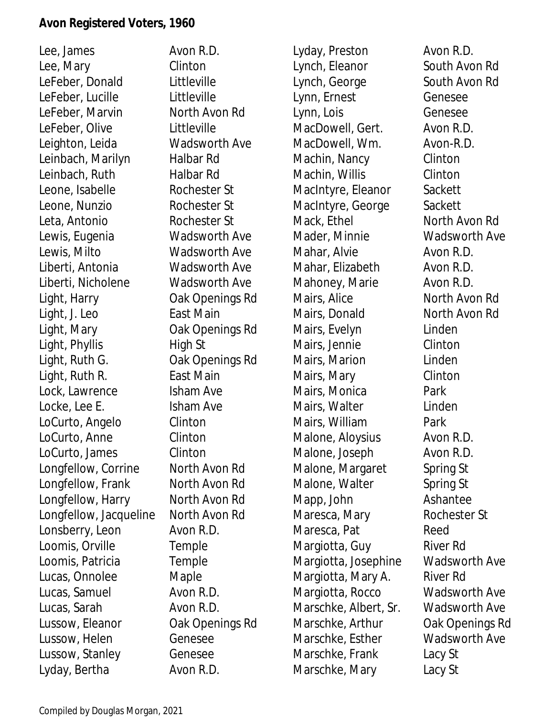Lee, James Avon R.D. Lee, Mary Clinton LeFeber, Donald Littleville LeFeber, Lucille Littleville LeFeber, Marvin North Avon Rd LeFeber, Olive Littleville Leighton, Leida Wadsworth Ave Leinbach, Marilyn Halbar Rd Leinbach, Ruth Halbar Rd Leone, Isabelle Rochester St Leone, Nunzio Rochester St Leta, Antonio Rochester St Lewis, Eugenia Wadsworth Ave Lewis, Milto Wadsworth Ave Liberti, Antonia Wadsworth Ave Liberti, Nicholene Wadsworth Ave Light, Harry Oak Openings Rd Light, J. Leo East Main Light, Mary Oak Openings Rd Light, Phyllis High St Light, Ruth G. Cak Openings Rd Light, Ruth R. East Main Lock, Lawrence Isham Ave Locke, Lee E. Sand Scham Ave LoCurto, Angelo Clinton LoCurto, Anne Clinton LoCurto, James Clinton Longfellow, Corrine North Avon Rd Longfellow, Frank North Avon Rd Longfellow, Harry North Avon Rd Longfellow, Jacqueline North Avon Rd Lonsberry, Leon Avon R.D. Loomis, Orville Temple Loomis, Patricia Temple Lucas, Onnolee Maple Lucas, Samuel Avon R.D. Lucas, Sarah Avon R.D. Lussow, Eleanor Oak Openings Rd Lussow, Helen Genesee Lussow, Stanley Genesee Lyday, Bertha **Avon R.D.** 

Lyday, Preston Avon R.D. Lynch, Eleanor South Avon Rd Lynch, George South Avon Rd Lynn, Ernest Genesee Lynn, Lois Genesee MacDowell, Gert. Avon R.D. MacDowell, Wm. Avon-R.D. Machin, Nancy Clinton Machin, Willis Clinton MacIntyre, Eleanor Sackett MacIntyre, George Sackett Mack, Ethel North Avon Rd Mader, Minnie Wadsworth Ave Mahar, Alvie **Avon R.D.** Mahar, Elizabeth Avon R.D. Mahoney, Marie **Avon R.D.** Mairs, Alice North Avon Rd Mairs, Donald North Avon Rd Mairs, Evelyn Linden Mairs, Jennie Clinton Mairs, Marion Linden Mairs, Mary Clinton Mairs, Monica **Park** Mairs, Walter **Linden** Mairs, William Park Malone, Aloysius **Avon R.D.** Malone, Joseph Avon R.D. Malone, Margaret Spring St Malone, Walter Spring St Mapp, John Ashantee Maresca, Mary Rochester St Maresca, Pat Reed Margiotta, Guy River Rd Margiotta, Josephine Wadsworth Ave Margiotta, Mary A. River Rd Margiotta, Rocco Wadsworth Ave Marschke, Albert, Sr. Wadsworth Ave Marschke, Arthur Oak Openings Rd Marschke, Esther Wadsworth Ave Marschke, Frank Lacy St Marschke, Mary Lacy St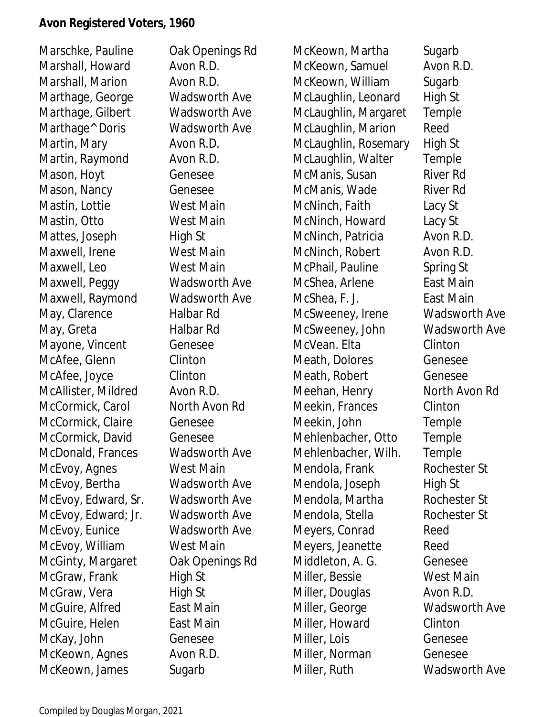Marschke, Pauline Oak Openings Rd Marshall, Howard Avon R.D. Marshall, Marion **Avon R.D.** Marthage, George Wadsworth Ave Marthage, Gilbert Wadsworth Ave Marthage<sup>^</sup> Doris Wadsworth Ave Martin, Mary **Avon R.D.** Martin, Raymond Avon R.D. Mason, Hoyt Genesee Mason, Nancy **Genesee** Mastin, Lottie West Main Mastin, Otto West Main Mattes, Joseph High St Maxwell, Irene West Main Maxwell, Leo West Main Maxwell, Peggy Wadsworth Ave Maxwell, Raymond Wadsworth Ave May, Clarence Halbar Rd May, Greta Halbar Rd Mayone, Vincent Genesee McAfee, Glenn Clinton McAfee, Joyce Clinton McAllister, Mildred Avon R.D. McCormick, Carol North Avon Rd McCormick, Claire Genesee McCormick, David Genesee McDonald, Frances Wadsworth Ave McEvoy, Agnes West Main McEvoy, Bertha Wadsworth Ave McEvoy, Edward, Sr. Wadsworth Ave McEvoy, Edward; Jr. Wadsworth Ave McEvoy, Eunice Wadsworth Ave McEvoy, William West Main McGinty, Margaret Oak Openings Rd McGraw, Frank High St McGraw, Vera High St McGuire, Alfred East Main McGuire, Helen East Main McKay, John Genesee McKeown, Agnes Avon R.D. McKeown, James Sugarb

McKeown, Martha Sugarb McKeown, Samuel Avon R.D. McKeown, William Sugarb McLaughlin, Leonard High St McLaughlin, Margaret Temple McLaughlin, Marion Reed McLaughlin, Rosemary High St McLaughlin, Walter Temple McManis, Susan River Rd McManis, Wade River Rd McNinch, Faith Lacy St McNinch, Howard Lacy St McNinch, Patricia Avon R.D. McNinch, Robert Avon R.D. McPhail, Pauline Spring St McShea, Arlene Fast Main McShea, F. J. East Main McSweeney, Irene Wadsworth Ave McSweeney, John Wadsworth Ave McVean. Elta Clinton Meath, Dolores Genesee Meath, Robert Genesee Meehan, Henry North Avon Rd Meekin, Frances Clinton Meekin, John Temple Mehlenbacher, Otto Temple Mehlenbacher, Wilh. Temple Mendola, Frank Rochester St Mendola, Joseph High St Mendola, Martha Rochester St Mendola, Stella Rochester St Meyers, Conrad Reed Meyers, Jeanette Reed Middleton, A. G. Genesee Miller, Bessie West Main Miller, Douglas **Avon R.D.** Miller, George Wadsworth Ave Miller, Howard Clinton Miller, Lois Genesee Miller, Norman Genesee Miller, Ruth Wadsworth Ave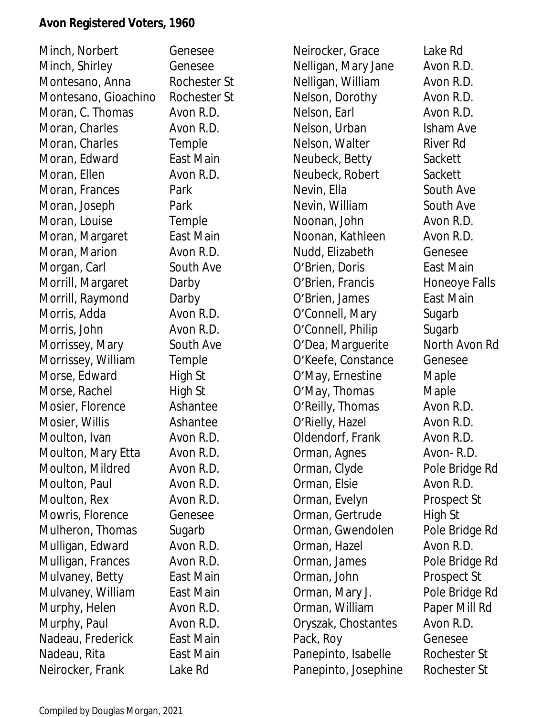| Minch, Norbert       | Genesee      | Neirocker, Grace     | Lake Rd        |
|----------------------|--------------|----------------------|----------------|
| Minch, Shirley       | Genesee      | Nelligan, Mary Jane  | Avon R.D.      |
| Montesano, Anna      | Rochester St | Nelligan, William    | Avon R.D.      |
| Montesano, Gioachino | Rochester St | Nelson, Dorothy      | Avon R.D.      |
| Moran, C. Thomas     | Avon R.D.    | Nelson, Earl         | Avon R.D.      |
| Moran, Charles       | Avon R.D.    | Nelson, Urban        | Isham Ave      |
| Moran, Charles       | Temple       | Nelson, Walter       | River Rd       |
| Moran, Edward        | East Main    | Neubeck, Betty       | Sackett        |
| Moran, Ellen         | Avon R.D.    | Neubeck, Robert      | Sackett        |
| Moran, Frances       | Park         | Nevin, Ella          | South Ave      |
| Moran, Joseph        | Park         | Nevin, William       | South Ave      |
| Moran, Louise        | Temple       | Noonan, John         | Avon R.D.      |
| Moran, Margaret      | East Main    | Noonan, Kathleen     | Avon R.D.      |
| Moran, Marion        | Avon R.D.    | Nudd, Elizabeth      | Genesee        |
| Morgan, Carl         | South Ave    | O'Brien, Doris       | East Main      |
| Morrill, Margaret    | Darby        | O'Brien, Francis     | Honeoye Falls  |
| Morrill, Raymond     | Darby        | O'Brien, James       | East Main      |
| Morris, Adda         | Avon R.D.    | O'Connell, Mary      | Sugarb         |
| Morris, John         | Avon R.D.    | O'Connell, Philip    | Sugarb         |
| Morrissey, Mary      | South Ave    | O'Dea, Marguerite    | North Avon Rd  |
| Morrissey, William   | Temple       | O'Keefe, Constance   | Genesee        |
| Morse, Edward        | High St      | O'May, Ernestine     | Maple          |
| Morse, Rachel        | High St      | O'May, Thomas        | Maple          |
| Mosier, Florence     | Ashantee     | O'Reilly, Thomas     | Avon R.D.      |
| Mosier, Willis       | Ashantee     | O'Rielly, Hazel      | Avon R.D.      |
| Moulton, Ivan        | Avon R.D.    | Oldendorf, Frank     | Avon R.D.      |
| Moulton, Mary Etta   | Avon R.D.    | Orman, Agnes         | Avon-R.D.      |
| Moulton, Mildred     | Avon R.D.    | Orman, Clyde         | Pole Bridge Rd |
| Moulton, Paul        | Avon R.D.    | Orman, Elsie         | Avon R.D.      |
| Moulton, Rex         | Avon R.D.    | Orman, Evelyn        | Prospect St    |
| Mowris, Florence     | Genesee      | Orman, Gertrude      | High St        |
| Mulheron, Thomas     | Sugarb       | Orman, Gwendolen     | Pole Bridge Rd |
| Mulligan, Edward     | Avon R.D.    | Orman, Hazel         | Avon R.D.      |
| Mulligan, Frances    | Avon R.D.    | Orman, James         | Pole Bridge Rd |
| Mulvaney, Betty      | East Main    | Orman, John          | Prospect St    |
| Mulvaney, William    | East Main    | Orman, Mary J.       | Pole Bridge Rd |
| Murphy, Helen        | Avon R.D.    | Orman, William       | Paper Mill Rd  |
| Murphy, Paul         | Avon R.D.    | Oryszak, Chostantes  | Avon R.D.      |
| Nadeau, Frederick    | East Main    | Pack, Roy            | Genesee        |
| Nadeau, Rita         | East Main    | Panepinto, Isabelle  | Rochester St   |
| Neirocker, Frank     | Lake Rd      | Panepinto, Josephine | Rochester St   |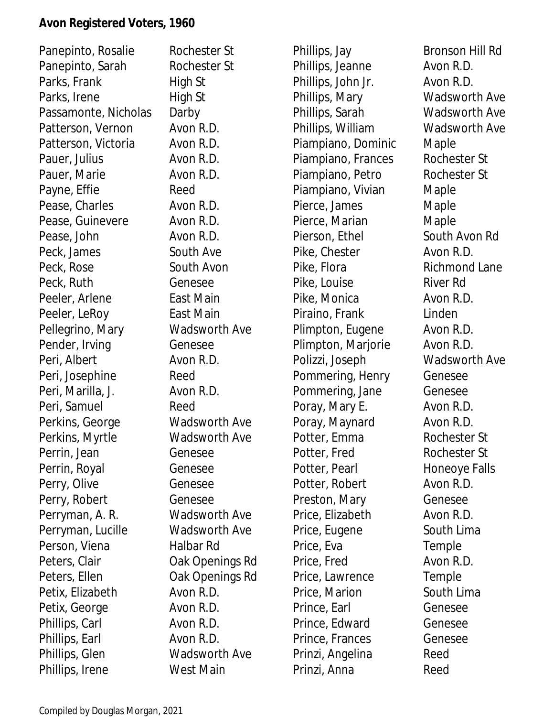| Panepinto, Rosalie   | Rochester St         | Phillips, Jay      | Bronson Hill Rd      |
|----------------------|----------------------|--------------------|----------------------|
| Panepinto, Sarah     | Rochester St         | Phillips, Jeanne   | Avon R.D.            |
| Parks, Frank         | High St              | Phillips, John Jr. | Avon R.D.            |
| Parks, Irene         | High St              | Phillips, Mary     | <b>Wadsworth Ave</b> |
| Passamonte, Nicholas | Darby                | Phillips, Sarah    | <b>Wadsworth Ave</b> |
| Patterson, Vernon    | Avon R.D.            | Phillips, William  | <b>Wadsworth Ave</b> |
| Patterson, Victoria  | Avon R.D.            | Piampiano, Dominic | Maple                |
| Pauer, Julius        | Avon R.D.            | Piampiano, Frances | Rochester St         |
| Pauer, Marie         | Avon R.D.            | Piampiano, Petro   | Rochester St         |
| Payne, Effie         | Reed                 | Piampiano, Vivian  | Maple                |
| Pease, Charles       | Avon R.D.            | Pierce, James      | Maple                |
| Pease, Guinevere     | Avon R.D.            | Pierce, Marian     | Maple                |
| Pease, John          | Avon R.D.            | Pierson, Ethel     | South Avon Rd        |
| Peck, James          | South Ave            | Pike, Chester      | Avon R.D.            |
| Peck, Rose           | South Avon           | Pike, Flora        | Richmond Lane        |
| Peck, Ruth           | Genesee              | Pike, Louise       | River Rd             |
| Peeler, Arlene       | East Main            | Pike, Monica       | Avon R.D.            |
| Peeler, LeRoy        | East Main            | Piraino, Frank     | Linden               |
| Pellegrino, Mary     | <b>Wadsworth Ave</b> | Plimpton, Eugene   | Avon R.D.            |
| Pender, Irving       | Genesee              | Plimpton, Marjorie | Avon R.D.            |
| Peri, Albert         | Avon R.D.            | Polizzi, Joseph    | <b>Wadsworth Ave</b> |
| Peri, Josephine      | Reed                 | Pommering, Henry   | Genesee              |
| Peri, Marilla, J.    | Avon R.D.            | Pommering, Jane    | Genesee              |
| Peri, Samuel         | Reed                 | Poray, Mary E.     | Avon R.D.            |
| Perkins, George      | Wadsworth Ave        | Poray, Maynard     | Avon R.D.            |
| Perkins, Myrtle      | <b>Wadsworth Ave</b> | Potter, Emma       | Rochester St         |
| Perrin, Jean         | Genesee              | Potter, Fred       | Rochester St         |
| Perrin, Royal        | Genesee              | Potter, Pearl      | Honeoye Falls        |
| Perry, Olive         | Genesee              | Potter, Robert     | Avon R.D.            |
| Perry, Robert        | Genesee              | Preston, Mary      | Genesee              |
| Perryman, A. R.      | Wadsworth Ave        | Price, Elizabeth   | Avon R.D.            |
| Perryman, Lucille    | Wadsworth Ave        | Price, Eugene      | South Lima           |
| Person, Viena        | Halbar Rd            | Price, Eva         | Temple               |
| Peters, Clair        | Oak Openings Rd      | Price, Fred        | Avon R.D.            |
| Peters, Ellen        | Oak Openings Rd      | Price, Lawrence    | Temple               |
| Petix, Elizabeth     | Avon R.D.            | Price, Marion      | South Lima           |
| Petix, George        | Avon R.D.            | Prince, Earl       | Genesee              |
| Phillips, Carl       | Avon R.D.            | Prince, Edward     | Genesee              |
| Phillips, Earl       | Avon R.D.            | Prince, Frances    | Genesee              |
| Phillips, Glen       | <b>Wadsworth Ave</b> | Prinzi, Angelina   | Reed                 |
| Phillips, Irene      | West Main            | Prinzi, Anna       | Reed                 |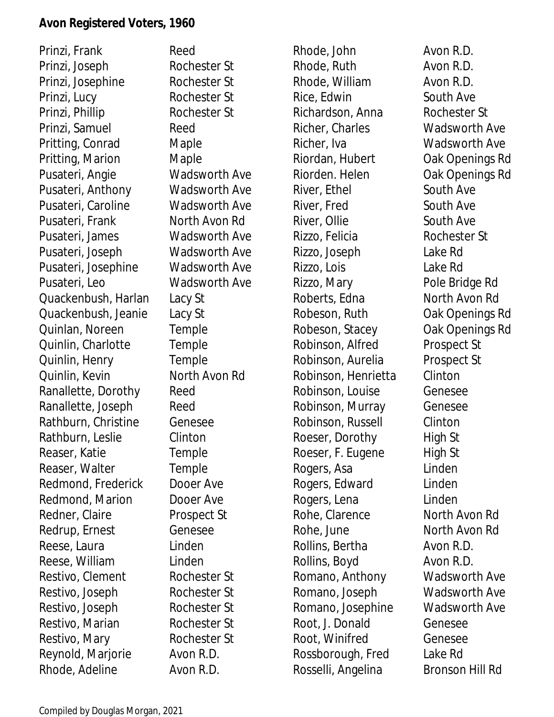Prinzi, Frank Reed Prinzi, Joseph Rochester St Prinzi, Josephine Rochester St Prinzi, Lucy Rochester St Prinzi, Phillip Rochester St Prinzi, Samuel Reed Pritting, Conrad Maple Pritting, Marion Maple Pusateri, Angie Wadsworth Ave Pusateri, Anthony Wadsworth Ave Pusateri, Caroline Wadsworth Ave Pusateri, Frank North Avon Rd Pusateri, James Wadsworth Ave Pusateri, Joseph Wadsworth Ave Pusateri, Josephine Wadsworth Ave Pusateri, Leo Wadsworth Ave Quackenbush, Harlan Lacy St Quackenbush, Jeanie Lacy St Quinlan, Noreen Temple Quinlin, Charlotte Temple Quinlin, Henry Temple Quinlin, Kevin North Avon Rd Ranallette, Dorothy Reed Ranallette, Joseph Reed Rathburn, Christine Genesee Rathburn, Leslie Clinton Reaser, Katie Temple Reaser, Walter Temple Redmond, Frederick Dooer Ave Redmond, Marion Dooer Ave Redner, Claire Prospect St Redrup, Ernest Genesee Reese, Laura **Linden** Reese, William Linden Restivo, Clement Rochester St Restivo, Joseph Rochester St Restivo, Joseph Rochester St Restivo, Marian Rochester St Restivo, Mary Rochester St Reynold, Marjorie Avon R.D. Rhode, Adeline Avon R.D.

Rhode, John Avon R.D. Rhode, Ruth Avon R.D. Rhode, William **Avon R.D.** Rice, Edwin South Ave Richardson, Anna Rochester St Richer, Charles Wadsworth Ave Richer, Iva **Wadsworth Ave** Riordan, Hubert Oak Openings Rd Riorden. Helen Oak Openings Rd River, Ethel South Ave River, Fred South Ave River, Ollie South Ave Rizzo, Felicia Rochester St Rizzo, Joseph Lake Rd Rizzo, Lois Lake Rd Rizzo, Mary Pole Bridge Rd Roberts, Edna North Avon Rd Robeson, Ruth **Oak Openings Rd** Robeson, Stacey **Oak Openings Rd** Robinson, Alfred Prospect St Robinson, Aurelia Prospect St Robinson, Henrietta Clinton Robinson, Louise Genesee Robinson, Murray Genesee Robinson, Russell Clinton Roeser, Dorothy High St Roeser, F. Eugene High St Rogers, Asa Linden Rogers, Edward Linden Rogers, Lena Linden Rohe, Clarence North Avon Rd Rohe, June North Avon Rd Rollins, Bertha Avon R.D. Rollins, Boyd Avon R.D. Romano, Anthony Wadsworth Ave Romano, Joseph Wadsworth Ave Romano, Josephine Wadsworth Ave Root, J. Donald Genesee Root, Winifred Genesee Rossborough, Fred Lake Rd Rosselli, Angelina Bronson Hill Rd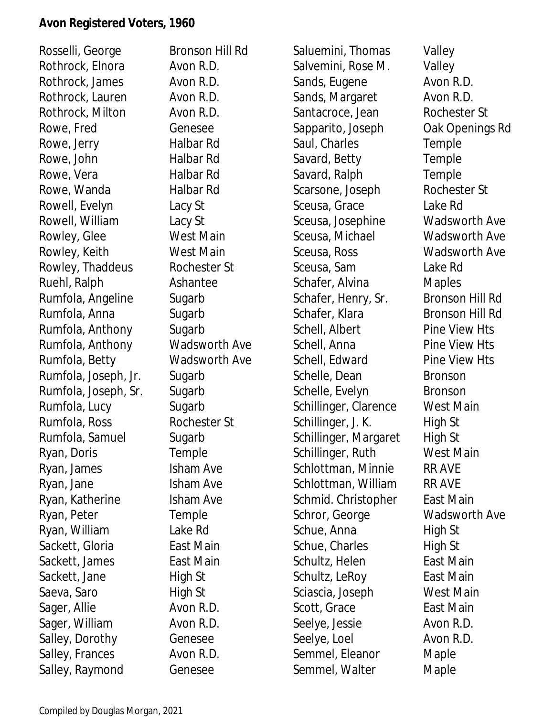Rosselli, George Bronson Hill Rd Rothrock, Elnora Avon R.D. Rothrock, James Avon R.D. Rothrock, Lauren Avon R.D. Rothrock, Milton Avon R.D. Rowe, Fred Genesee Rowe, Jerry **Halbar Rd** Rowe, John Halbar Rd Rowe, Vera Halbar Rd Rowe, Wanda **Halbar Rd** Rowell, Evelyn Lacy St Rowell, William Lacy St Rowley, Glee West Main Rowley, Keith West Main Rowley, Thaddeus Rochester St Ruehl, Ralph Ashantee Rumfola, Angeline Sugarb Rumfola, Anna Sugarb Rumfola, Anthony Sugarb Rumfola, Anthony Wadsworth Ave Rumfola, Betty Wadsworth Ave Rumfola, Joseph, Jr. Sugarb Rumfola, Joseph, Sr. Sugarb Rumfola, Lucy Sugarb Rumfola, Ross Rochester St Rumfola, Samuel Sugarb Ryan, Doris Temple Ryan, James Isham Ave Ryan, Jane Isham Ave Ryan, Katherine Isham Ave Ryan, Peter Temple Ryan, William Lake Rd Sackett, Gloria **East Main** Sackett, James East Main Sackett, Jane High St Saeva, Saro **High St** Sager, Allie Avon R.D. Sager, William **Avon R.D.** Salley, Dorothy Genesee Salley, Frances Avon R.D. Salley, Raymond Genesee

Saluemini, Thomas Valley Salvemini, Rose M. Valley Sands, Eugene **Avon R.D.** Sands, Margaret Avon R.D. Santacroce, Jean Rochester St Sapparito, Joseph Oak Openings Rd Saul, Charles Temple Savard, Betty **Temple** Savard, Ralph Temple Scarsone, Joseph Rochester St Sceusa, Grace Lake Rd Sceusa, Josephine Wadsworth Ave Sceusa, Michael Wadsworth Ave Sceusa, Ross Wadsworth Ave Sceusa, Sam Lake Rd Schafer, Alvina Maples Schafer, Henry, Sr. Bronson Hill Rd Schafer, Klara Bronson Hill Rd Schell, Albert Pine View Hts Schell, Anna Pine View Hts Schell, Edward Pine View Hts Schelle, Dean Bronson Schelle, Evelyn Bronson Schillinger, Clarence West Main Schillinger, J. K. High St Schillinger, Margaret High St Schillinger, Ruth West Main Schlottman, Minnie RR AVE Schlottman, William RR AVE Schmid. Christopher East Main Schror, George Wadsworth Ave Schue, Anna **High St** Schue, Charles High St Schultz, Helen East Main Schultz, LeRoy East Main Sciascia, Joseph West Main Scott, Grace East Main Seelye, Jessie **Avon R.D.** Seelye, Loel **Avon R.D.** Semmel, Eleanor Maple Semmel, Walter Maple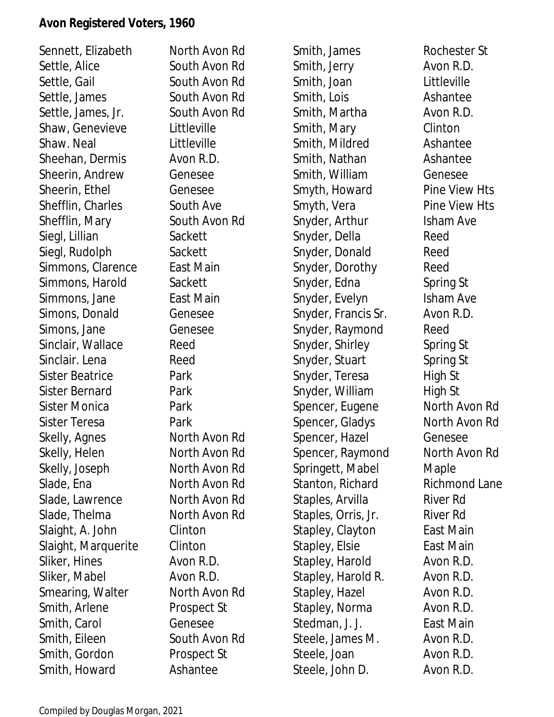Sennett, Elizabeth North Avon Rd Settle, Alice South Avon Rd Settle, Gail South Avon Rd Settle, James South Avon Rd Settle, James, Jr. South Avon Rd Shaw, Genevieve Littleville Shaw. Neal **Littleville** Sheehan, Dermis Avon R.D. Sheerin, Andrew Genesee Sheerin, Ethel Genesee Shefflin, Charles South Ave Shefflin, Mary South Avon Rd Siegl, Lillian Sackett Siegl, Rudolph Sackett Simmons, Clarence East Main Simmons, Harold Sackett Simmons, Jane **East Main** Simons, Donald Genesee Simons, Jane Genesee Sinclair, Wallace Reed Sinclair. Lena Reed Sister Beatrice Park Sister Bernard Park Sister Monica Park Sister Teresa **Park** Skelly, Agnes North Avon Rd Skelly, Helen North Avon Rd Skelly, Joseph North Avon Rd Slade, Ena North Avon Rd Slade, Lawrence North Avon Rd Slade, Thelma North Avon Rd Slaight, A. John Clinton Slaight, Marquerite Clinton Sliker, Hines Avon R.D. Sliker, Mabel **Avon R.D.** Smearing, Walter North Avon Rd Smith, Arlene Prospect St Smith, Carol Genesee Smith, Eileen South Avon Rd Smith, Gordon Prospect St Smith, Howard **Ashantee** 

Smith, James Rochester St Smith, Jerry **Avon R.D.** Smith, Joan Littleville Smith, Lois **Ashantee** Smith, Martha **Avon R.D.** Smith, Mary Clinton Smith, Mildred **Ashantee** Smith, Nathan **Ashantee** Smith, William Genesee Smyth, Howard Pine View Hts Smyth, Vera Pine View Hts Snyder, Arthur Isham Ave Snyder, Della Reed Snyder, Donald Reed Snyder, Dorothy Reed Snyder, Edna Spring St Snyder, Evelyn Isham Ave Snyder, Francis Sr. Avon R.D. Snyder, Raymond Reed Snyder, Shirley Spring St Snyder, Stuart Spring St Snyder, Teresa High St Snyder, William High St Spencer, Eugene North Avon Rd Spencer, Gladys North Avon Rd Spencer, Hazel Genesee Spencer, Raymond North Avon Rd Springett, Mabel Maple Stanton, Richard Richmond Lane Staples, Arvilla River Rd Staples, Orris, Jr. River Rd Stapley, Clayton East Main Stapley, Elsie East Main Stapley, Harold Avon R.D. Stapley, Harold R. Avon R.D. Stapley, Hazel **Avon R.D.** Stapley, Norma Avon R.D. Stedman, J. J. East Main Steele, James M. Avon R.D. Steele, Joan Avon R.D. Steele, John D. Avon R.D.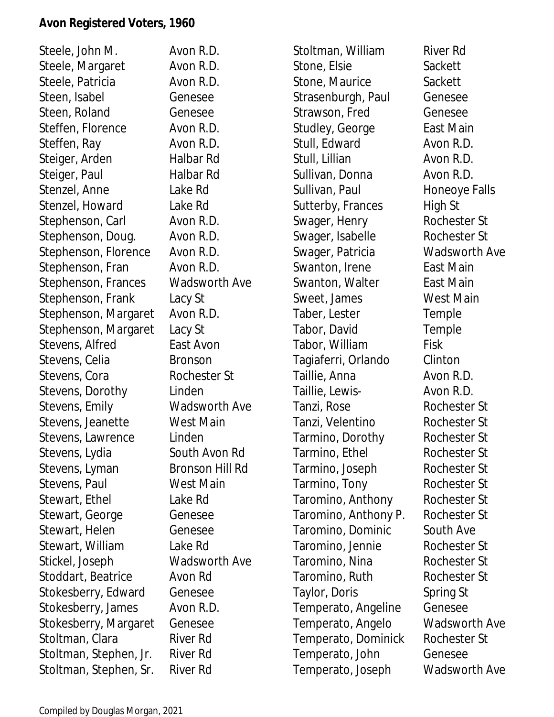Steele, John M. Avon R.D. Steele, Margaret Avon R.D. Steele, Patricia **Avon R.D.** Steen, Isabel Genesee Steen, Roland Genesee Steffen, Florence Avon R.D. Steffen, Ray **Avon R.D.** Steiger, Arden Halbar Rd Steiger, Paul Halbar Rd Stenzel, Anne Lake Rd Stenzel, Howard Lake Rd Stephenson, Carl Avon R.D. Stephenson, Doug. Avon R.D. Stephenson, Florence Avon R.D. Stephenson, Fran Avon R.D. Stephenson, Frances Wadsworth Ave Stephenson, Frank Lacy St Stephenson, Margaret Avon R.D. Stephenson, Margaret Lacy St Stevens, Alfred East Avon Stevens, Celia Bronson Stevens, Cora Rochester St Stevens, Dorothy Linden Stevens, Emily Wadsworth Ave Stevens, Jeanette West Main Stevens, Lawrence Linden Stevens, Lydia South Avon Rd Stevens, Lyman Bronson Hill Rd Stevens, Paul West Main Stewart, Ethel Lake Rd Stewart, George Genesee Stewart, Helen Genesee Stewart, William Lake Rd Stickel, Joseph Wadsworth Ave Stoddart, Beatrice Avon Rd Stokesberry, Edward Genesee Stokesberry, James Avon R.D. Stokesberry, Margaret Genesee Stoltman, Clara River Rd Stoltman, Stephen, Jr. River Rd Stoltman, Stephen, Sr. River Rd

Stoltman, William River Rd Stone, Elsie Sackett Stone, Maurice Sackett Strasenburgh, Paul Genesee Strawson, Fred Genesee Studley, George East Main Stull, Edward Avon R.D. Stull, Lillian Avon R.D. Sullivan, Donna Avon R.D. Sullivan, Paul Honeoye Falls Sutterby, Frances High St Swager, Henry Rochester St Swager, Isabelle Rochester St Swager, Patricia Wadsworth Ave Swanton, Irene **East Main** Swanton, Walter **East Main** Sweet, James West Main Taber, Lester Temple Tabor, David Temple Tabor, William Fisk Tagiaferri, Orlando Clinton Taillie, Anna Avon R.D. Taillie, Lewis- Avon R.D. Tanzi, Rose Rochester St Tanzi, Velentino Rochester St Tarmino, Dorothy Rochester St Tarmino, Ethel Rochester St Tarmino, Joseph Rochester St Tarmino, Tony Rochester St Taromino, Anthony Rochester St Taromino, Anthony P. Rochester St Taromino, Dominic South Ave Taromino, Jennie Rochester St Taromino, Nina Rochester St Taromino, Ruth Rochester St Taylor, Doris Spring St Temperato, Angeline Genesee Temperato, Angelo Wadsworth Ave Temperato, Dominick Rochester St Temperato, John Genesee Temperato, Joseph Wadsworth Ave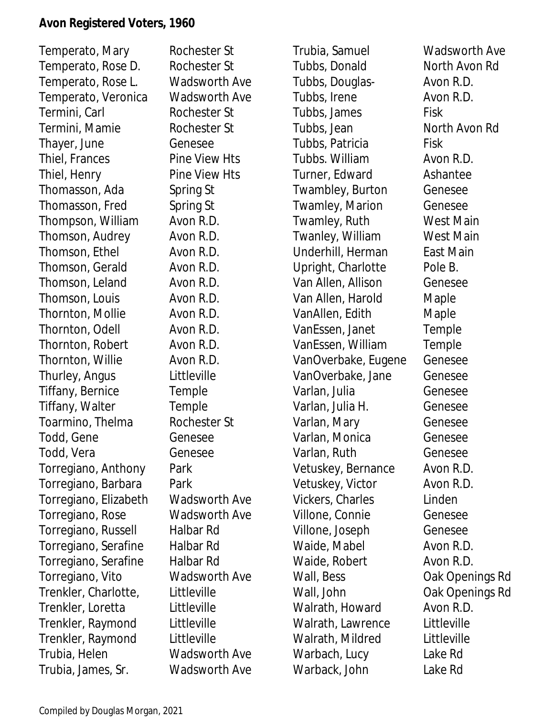Temperato, Mary Rochester St Temperato, Rose D. Rochester St Temperato, Rose L. Wadsworth Ave Temperato, Veronica Wadsworth Ave Termini, Carl **Rochester St** Termini, Mamie **Rochester St** Thayer, June Genesee Thiel, Frances Pine View Hts Thiel, Henry Pine View Hts Thomasson, Ada Spring St Thomasson, Fred Spring St Thompson, William Avon R.D. Thomson, Audrey Avon R.D. Thomson, Ethel Avon R.D. Thomson, Gerald Avon R.D. Thomson, Leland Avon R.D. Thomson, Louis **Avon R.D.** Thornton, Mollie Avon R.D. Thornton, Odell **Avon R.D.** Thornton, Robert Avon R.D. Thornton, Willie Avon R.D. Thurley, Angus Littleville Tiffany, Bernice Temple Tiffany, Walter Temple Toarmino, Thelma Rochester St Todd, Gene Genesee Todd, Vera Genesee Torregiano, Anthony Park Torregiano, Barbara Park Torregiano, Elizabeth Wadsworth Ave Torregiano, Rose Wadsworth Ave Torregiano, Russell Halbar Rd Torregiano, Serafine Halbar Rd Torregiano, Serafine Halbar Rd Torregiano, Vito Wadsworth Ave Trenkler, Charlotte, Littleville Trenkler, Loretta Littleville Trenkler, Raymond Littleville Trenkler, Raymond Littleville Trubia, Helen Wadsworth Ave Trubia, James, Sr. Wadsworth Ave

Trubia, Samuel Wadsworth Ave Tubbs, Donald North Avon Rd Tubbs, Douglas- Avon R.D. Tubbs, Irene Avon R.D. Tubbs, James Fisk Tubbs, Jean North Avon Rd Tubbs, Patricia Fisk Tubbs. William Avon R.D. Turner, Edward Ashantee Twambley, Burton Genesee Twamley, Marion Genesee Twamley, Ruth West Main Twanley, William West Main Underhill, Herman East Main Upright, Charlotte Pole B. Van Allen, Allison Genesee Van Allen, Harold Maple VanAllen, Edith Maple VanEssen, Janet Temple VanEssen, William Temple VanOverbake, Eugene Genesee VanOverbake, Jane Genesee Varlan, Julia Genesee Varlan, Julia H. Genesee Varlan, Mary **Genesee** Varlan, Monica Genesee Varlan, Ruth Genesee Vetuskey, Bernance Avon R.D. Vetuskey, Victor **Avon R.D.** Vickers, Charles Linden Villone, Connie Genesee Villone, Joseph Genesee Waide, Mabel **Avon R.D.** Waide, Robert **Avon R.D.** Wall, Bess **Oak Openings Rd** Wall, John **Oak Openings Rd** Walrath, Howard Avon R.D. Walrath, Lawrence Littleville Walrath, Mildred Littleville Warbach, Lucy Lake Rd Warback, John Lake Rd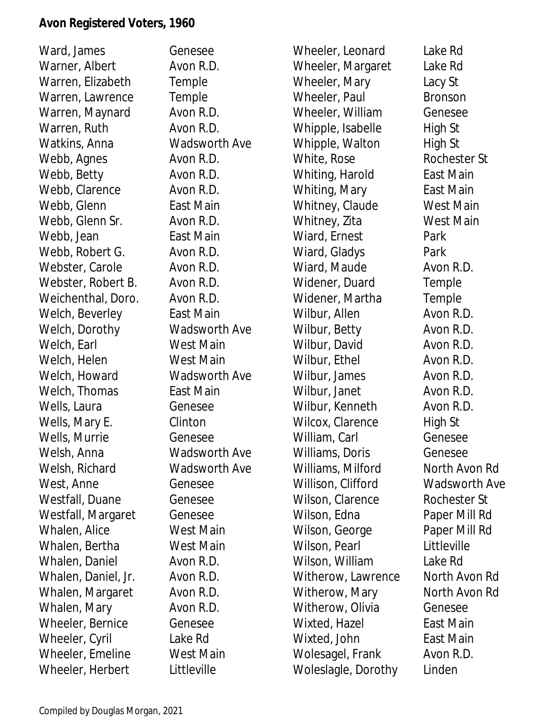Ward, James Genesee Warner, Albert **Avon R.D.** Warren, Elizabeth Temple Warren, Lawrence Temple Warren, Maynard Avon R.D. Warren, Ruth Avon R.D. Watkins, Anna Wadsworth Ave Webb, Agnes Avon R.D. Webb, Betty **Avon R.D.** Webb, Clarence **Avon R.D.** Webb, Glenn **East Main** Webb, Glenn Sr. Avon R.D. Webb, Jean **East Main** Webb, Robert G. Avon R.D. Webster, Carole **Avon R.D.** Webster, Robert B. Avon R.D. Weichenthal, Doro. Avon R.D. Welch, Beverley **East Main** Welch, Dorothy Wadsworth Ave Welch, Earl West Main Welch, Helen West Main Welch, Howard **Wadsworth Ave** Welch, Thomas **East Main** Wells, Laura Genesee Wells, Mary E. Clinton Wells, Murrie Genesee Welsh, Anna Wadsworth Ave Welsh, Richard Wadsworth Ave West, Anne Genesee Westfall, Duane Genesee Westfall, Margaret Genesee Whalen, Alice West Main Whalen, Bertha West Main Whalen, Daniel **Avon R.D.** Whalen, Daniel, Jr. Avon R.D. Whalen, Margaret Avon R.D. Whalen, Mary **Avon R.D.** Wheeler, Bernice Genesee Wheeler, Cyril Lake Rd Wheeler, Emeline West Main Wheeler, Herbert Littleville

Wheeler, Leonard Lake Rd Wheeler, Margaret Lake Rd Wheeler, Mary Lacy St Wheeler, Paul Bronson Wheeler, William Genesee Whipple, Isabelle High St Whipple, Walton High St White, Rose Rochester St Whiting, Harold East Main Whiting, Mary **East Main** Whitney, Claude West Main Whitney, Zita **West Main** Wiard, Ernest Park Wiard, Gladys Park Wiard, Maude **Avon R.D.** Widener, Duard Temple Widener, Martha Temple Wilbur, Allen Avon R.D. Wilbur, Betty **Avon R.D.** Wilbur, David **Avon R.D.** Wilbur, Ethel **Avon R.D.** Wilbur, James Avon R.D. Wilbur, Janet **Avon R.D.** Wilbur, Kenneth **Avon R.D.** Wilcox, Clarence High St William, Carl Genesee Williams, Doris Genesee Williams, Milford North Avon Rd Willison, Clifford Wadsworth Ave Wilson, Clarence Rochester St Wilson, Edna Paper Mill Rd Wilson, George Paper Mill Rd Wilson, Pearl **Littleville** Wilson, William Lake Rd Witherow, Lawrence North Avon Rd Witherow, Mary North Avon Rd Witherow, Olivia Genesee Wixted, Hazel **East Main** Wixted, John **East Main** Wolesagel, Frank Avon R.D. Woleslagle, Dorothy Linden